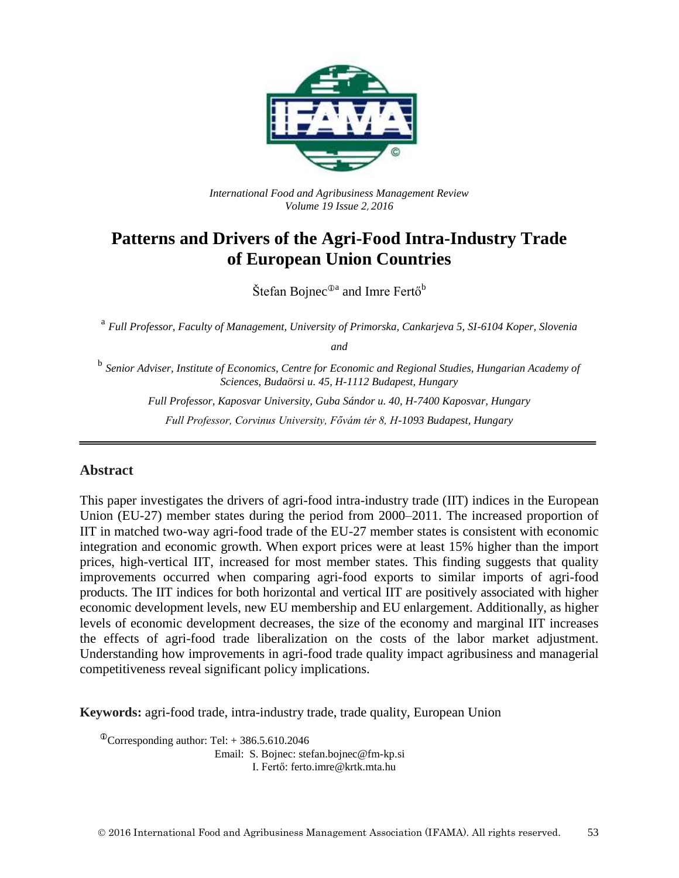

*International Food and Agribusiness Management Review Volume 19 Issue 2*, *2016*

## **Patterns and Drivers of the Agri-Food Intra-Industry Trade of European Union Countries**

Štefan Bojnec $^{\oplus a}$  and Imre Fertő $^{\rm b}$ 

<sup>a</sup> Full Professor, Faculty of Management, University of Primorska, Cankarjeva 5, SI-6104 Koper, Slovenia

*and*

<sup>b</sup> Senior Adviser, Institute of Economics, Centre for Economic and Regional Studies, Hungarian Academy of *Sciences, Budaörsi u. 45, H-1112 Budapest, Hungary*

*Full Professor, Kaposvar University, Guba Sándor u. 40, H-7400 Kaposvar, Hungary Full Professor, Corvinus University, Fővám tér 8, H-1093 Budapest, Hungary*

#### **Abstract**

This paper investigates the drivers of agri-food intra-industry trade (IIT) indices in the European Union (EU-27) member states during the period from 2000–2011. The increased proportion of IIT in matched two-way agri-food trade of the EU-27 member states is consistent with economic integration and economic growth. When export prices were at least 15% higher than the import prices, high-vertical IIT, increased for most member states. This finding suggests that quality improvements occurred when comparing agri-food exports to similar imports of agri-food products. The IIT indices for both horizontal and vertical IIT are positively associated with higher economic development levels, new EU membership and EU enlargement. Additionally, as higher levels of economic development decreases, the size of the economy and marginal IIT increases the effects of agri-food trade liberalization on the costs of the labor market adjustment. Understanding how improvements in agri-food trade quality impact agribusiness and managerial competitiveness reveal significant policy implications.

**Keywords:** agri-food trade, intra-industry trade, trade quality, European Union

 $\textcirc{Corresponding author: Tel:} + 386.5.610.2046$ 

Email: S. Bojnec: stefan.bojnec@fm-kp.si I. Fertő: ferto.imre@krtk.mta.hu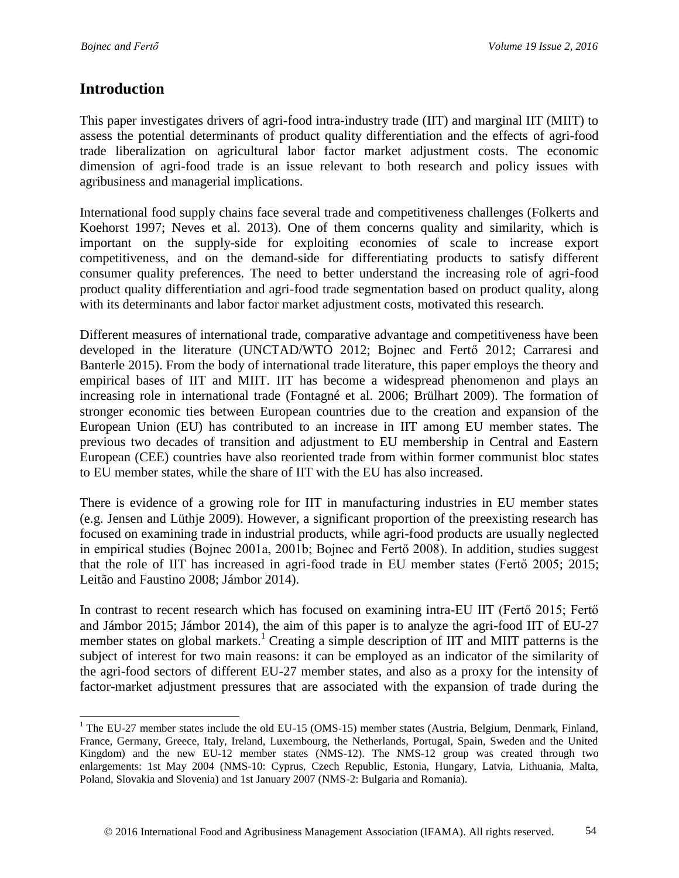### **Introduction**

 $\overline{a}$ 

This paper investigates drivers of agri-food intra-industry trade (IIT) and marginal IIT (MIIT) to assess the potential determinants of product quality differentiation and the effects of agri-food trade liberalization on agricultural labor factor market adjustment costs. The economic dimension of agri-food trade is an issue relevant to both research and policy issues with agribusiness and managerial implications.

International food supply chains face several trade and competitiveness challenges (Folkerts and Koehorst 1997; Neves et al. 2013). One of them concerns quality and similarity, which is important on the supply-side for exploiting economies of scale to increase export competitiveness, and on the demand-side for differentiating products to satisfy different consumer quality preferences. The need to better understand the increasing role of agri-food product quality differentiation and agri-food trade segmentation based on product quality, along with its determinants and labor factor market adjustment costs, motivated this research.

Different measures of international trade, comparative advantage and competitiveness have been developed in the literature (UNCTAD/WTO 2012; Bojnec and Fertő 2012; Carraresi and Banterle 2015). From the body of international trade literature, this paper employs the theory and empirical bases of IIT and MIIT. IIT has become a widespread phenomenon and plays an increasing role in international trade (Fontagné et al. 2006; Brülhart 2009). The formation of stronger economic ties between European countries due to the creation and expansion of the European Union (EU) has contributed to an increase in IIT among EU member states. The previous two decades of transition and adjustment to EU membership in Central and Eastern European (CEE) countries have also reoriented trade from within former communist bloc states to EU member states, while the share of IIT with the EU has also increased.

There is evidence of a growing role for IIT in manufacturing industries in EU member states (e.g. Jensen and Lüthje 2009). However, a significant proportion of the preexisting research has focused on examining trade in industrial products, while agri-food products are usually neglected in empirical studies (Bojnec 2001a, 2001b; Bojnec and Fertő 2008). In addition, studies suggest that the role of IIT has increased in agri-food trade in EU member states (Fertő 2005; 2015; Leitão and Faustino 2008; Jámbor 2014).

In contrast to recent research which has focused on examining intra-EU IIT (Fertő 2015; Fertő and Jámbor 2015; Jámbor 2014), the aim of this paper is to analyze the agri-food IIT of EU-27 member states on global markets.<sup>1</sup> Creating a simple description of IIT and MIIT patterns is the subject of interest for two main reasons: it can be employed as an indicator of the similarity of the agri-food sectors of different EU-27 member states, and also as a proxy for the intensity of factor-market adjustment pressures that are associated with the expansion of trade during the

<sup>&</sup>lt;sup>1</sup> The EU-27 member states include the old EU-15 (OMS-15) member states (Austria, Belgium, Denmark, Finland, France, Germany, Greece, Italy, Ireland, Luxembourg, the Netherlands, Portugal, Spain, Sweden and the United Kingdom) and the new EU-12 member states (NMS-12). The NMS-12 group was created through two enlargements: 1st May 2004 (NMS-10: Cyprus, Czech Republic, Estonia, Hungary, Latvia, Lithuania, Malta, Poland, Slovakia and Slovenia) and 1st January 2007 (NMS-2: Bulgaria and Romania).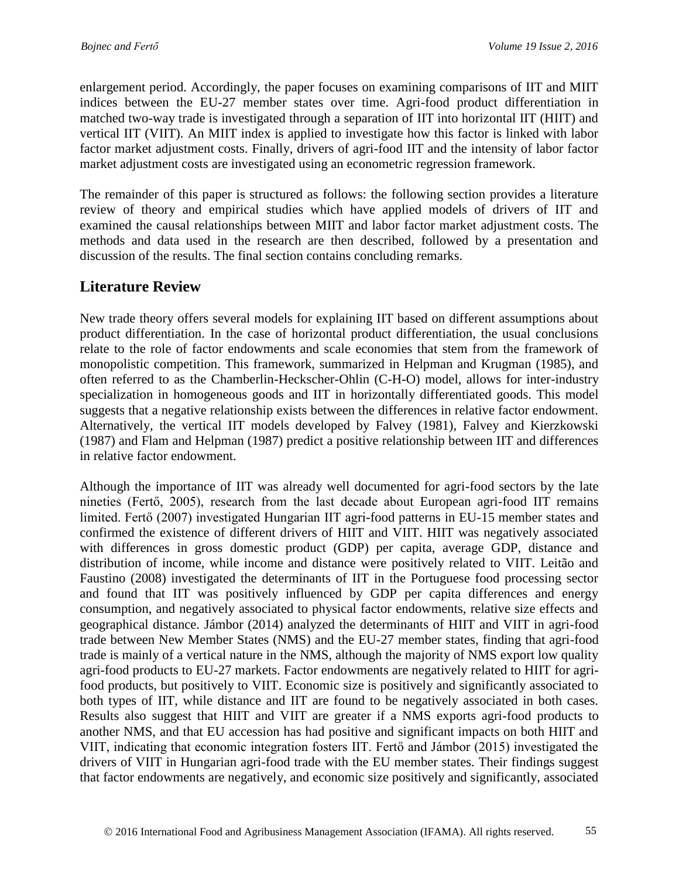enlargement period. Accordingly, the paper focuses on examining comparisons of IIT and MIIT indices between the EU-27 member states over time. Agri-food product differentiation in matched two-way trade is investigated through a separation of IIT into horizontal IIT (HIIT) and vertical IIT (VIIT). An MIIT index is applied to investigate how this factor is linked with labor factor market adjustment costs. Finally, drivers of agri-food IIT and the intensity of labor factor market adjustment costs are investigated using an econometric regression framework.

The remainder of this paper is structured as follows: the following section provides a literature review of theory and empirical studies which have applied models of drivers of IIT and examined the causal relationships between MIIT and labor factor market adjustment costs. The methods and data used in the research are then described, followed by a presentation and discussion of the results. The final section contains concluding remarks.

### **Literature Review**

New trade theory offers several models for explaining IIT based on different assumptions about product differentiation. In the case of horizontal product differentiation, the usual conclusions relate to the role of factor endowments and scale economies that stem from the framework of monopolistic competition. This framework, summarized in Helpman and Krugman (1985), and often referred to as the Chamberlin-Heckscher-Ohlin (C-H-O) model, allows for inter-industry specialization in homogeneous goods and IIT in horizontally differentiated goods. This model suggests that a negative relationship exists between the differences in relative factor endowment. Alternatively, the vertical IIT models developed by Falvey (1981), Falvey and Kierzkowski (1987) and Flam and Helpman (1987) predict a positive relationship between IIT and differences in relative factor endowment.

Although the importance of IIT was already well documented for agri-food sectors by the late nineties (Fertő, 2005), research from the last decade about European agri-food IIT remains limited. Fertő (2007) investigated Hungarian IIT agri-food patterns in EU-15 member states and confirmed the existence of different drivers of HIIT and VIIT. HIIT was negatively associated with differences in gross domestic product (GDP) per capita, average GDP, distance and distribution of income, while income and distance were positively related to VIIT. Leitão and Faustino (2008) investigated the determinants of IIT in the Portuguese food processing sector and found that IIT was positively influenced by GDP per capita differences and energy consumption, and negatively associated to physical factor endowments, relative size effects and geographical distance. Jámbor (2014) analyzed the determinants of HIIT and VIIT in agri-food trade between New Member States (NMS) and the EU-27 member states, finding that agri-food trade is mainly of a vertical nature in the NMS, although the majority of NMS export low quality agri-food products to EU-27 markets. Factor endowments are negatively related to HIIT for agrifood products, but positively to VIIT. Economic size is positively and significantly associated to both types of IIT, while distance and IIT are found to be negatively associated in both cases. Results also suggest that HIIT and VIIT are greater if a NMS exports agri-food products to another NMS, and that EU accession has had positive and significant impacts on both HIIT and VIIT, indicating that economic integration fosters IIT. Fertő and Jámbor (2015) investigated the drivers of VIIT in Hungarian agri-food trade with the EU member states. Their findings suggest that factor endowments are negatively, and economic size positively and significantly, associated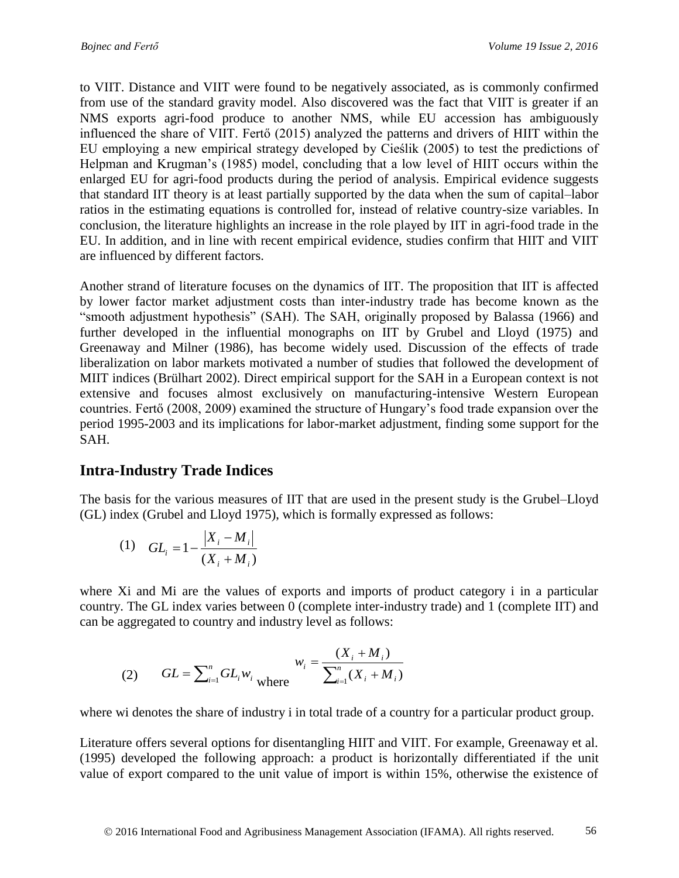to VIIT. Distance and VIIT were found to be negatively associated, as is commonly confirmed from use of the standard gravity model. Also discovered was the fact that VIIT is greater if an NMS exports agri-food produce to another NMS, while EU accession has ambiguously influenced the share of VIIT. Fertő (2015) analyzed the patterns and drivers of HIIT within the EU employing a new empirical strategy developed by Cieślik (2005) to test the predictions of Helpman and Krugman's (1985) model, concluding that a low level of HIIT occurs within the enlarged EU for agri-food products during the period of analysis. Empirical evidence suggests that standard IIT theory is at least partially supported by the data when the sum of capital–labor ratios in the estimating equations is controlled for, instead of relative country-size variables. In conclusion, the literature highlights an increase in the role played by IIT in agri-food trade in the EU. In addition, and in line with recent empirical evidence, studies confirm that HIIT and VIIT are influenced by different factors.

Another strand of literature focuses on the dynamics of IIT. The proposition that IIT is affected by lower factor market adjustment costs than inter-industry trade has become known as the "smooth adjustment hypothesis" (SAH). The SAH, originally proposed by Balassa (1966) and further developed in the influential monographs on IIT by Grubel and Lloyd (1975) and Greenaway and Milner (1986), has become widely used. Discussion of the effects of trade liberalization on labor markets motivated a number of studies that followed the development of MIIT indices (Brülhart 2002). Direct empirical support for the SAH in a European context is not extensive and focuses almost exclusively on manufacturing-intensive Western European countries. Fertő (2008, 2009) examined the structure of Hungary's food trade expansion over the period 1995-2003 and its implications for labor-market adjustment, finding some support for the SAH.

## **Intra-Industry Trade Indices**

The basis for the various measures of IIT that are used in the present study is the Grubel–Lloyd (GL) index (Grubel and Lloyd 1975), which is formally expressed as follows:

(1) 
$$
GL_i = 1 - \frac{|X_i - M_i|}{(X_i + M_i)}
$$

where Xi and Mi are the values of exports and imports of product category i in a particular country. The GL index varies between 0 (complete inter-industry trade) and 1 (complete IIT) and can be aggregated to country and industry level as follows:

(2) 
$$
GL = \sum_{i=1}^{n} GL_i w_i \text{ where } w_i = \frac{(X_i + M_i)}{\sum_{i=1}^{n} (X_i + M_i)}
$$

where wi denotes the share of industry i in total trade of a country for a particular product group.

Literature offers several options for disentangling HIIT and VIIT. For example, Greenaway et al. (1995) developed the following approach: a product is horizontally differentiated if the unit value of export compared to the unit value of import is within 15%, otherwise the existence of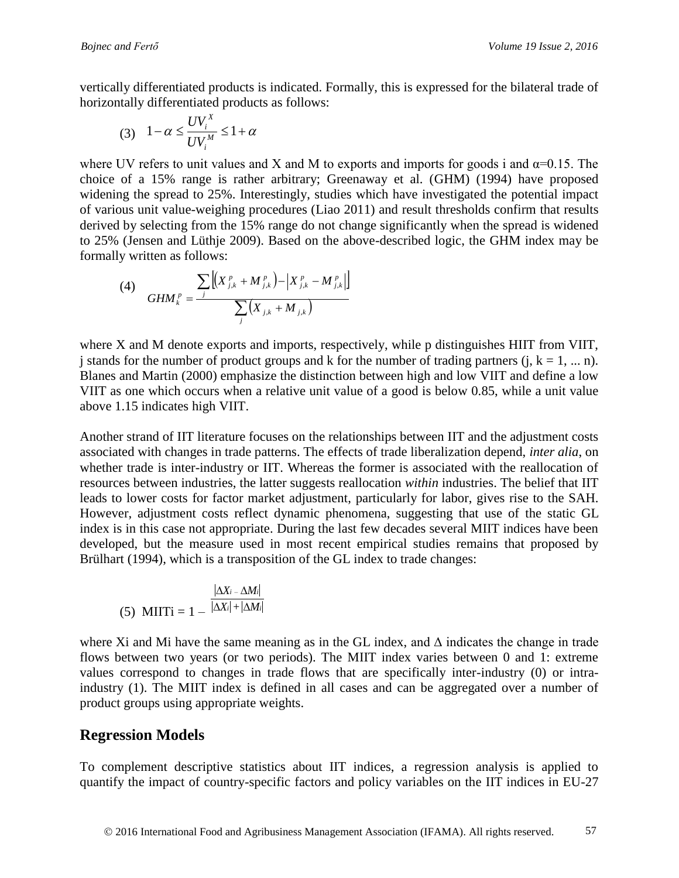vertically differentiated products is indicated. Formally, this is expressed for the bilateral trade of horizontally differentiated products as follows:

$$
(3) \quad 1 - \alpha \le \frac{UV_i^X}{UV_i^M} \le 1 + \alpha
$$

where UV refers to unit values and X and M to exports and imports for goods i and  $\alpha$ =0.15. The choice of a 15% range is rather arbitrary; Greenaway et al. (GHM) (1994) have proposed widening the spread to 25%. Interestingly, studies which have investigated the potential impact of various unit value-weighing procedures (Liao 2011) and result thresholds confirm that results derived by selecting from the 15% range do not change significantly when the spread is widened to 25% (Jensen and Lüthje 2009). Based on the above-described logic, the GHM index may be formally written as follows:

(4) 
$$
GHM_{k}^{p} = \frac{\sum_{j} \left[ \left( X_{j,k}^{p} + M_{j,k}^{p} \right) - \left| X_{j,k}^{p} - M_{j,k}^{p} \right| \right]}{\sum_{j} \left( X_{j,k} + M_{j,k} \right)}
$$

where X and M denote exports and imports, respectively, while p distinguishes HIIT from VIIT, j stands for the number of product groups and k for the number of trading partners  $(i, k = 1, ... n)$ . Blanes and Martin (2000) emphasize the distinction between high and low VIIT and define a low VIIT as one which occurs when a relative unit value of a good is below 0.85, while a unit value above 1.15 indicates high VIIT.

(3)  $1-a \le \frac{1}{UV} + 21+a$ <br>
2017 CHE UN refers to unit values small X and M to exports and imports for goods i and  $\alpha-0.15$ . The<br>
EUV refers to unit values small Three incompany of and (IGHM) (1994) have proposees<br>
noing the Another strand of IIT literature focuses on the relationships between IIT and the adjustment costs associated with changes in trade patterns. The effects of trade liberalization depend, *inter alia*, on whether trade is inter-industry or IIT. Whereas the former is associated with the reallocation of resources between industries, the latter suggests reallocation *within* industries. The belief that IIT leads to lower costs for factor market adjustment, particularly for labor, gives rise to the SAH. However, adjustment costs reflect dynamic phenomena, suggesting that use of the static GL index is in this case not appropriate. During the last few decades several MIIT indices have been developed, but the measure used in most recent empirical studies remains that proposed by Brülhart (1994), which is a transposition of the GL index to trade changes:

(5) MITi = 
$$
1 - \frac{|\Delta X_i - \Delta M_i|}{|\Delta X_i| + |\Delta M_i|}
$$

where Xi and Mi have the same meaning as in the GL index, and  $\Delta$  indicates the change in trade flows between two years (or two periods). The MIIT index varies between 0 and 1: extreme values correspond to changes in trade flows that are specifically inter-industry (0) or intraindustry (1). The MIIT index is defined in all cases and can be aggregated over a number of product groups using appropriate weights.

#### **Regression Models**

To complement descriptive statistics about IIT indices, a regression analysis is applied to quantify the impact of country-specific factors and policy variables on the IIT indices in EU-27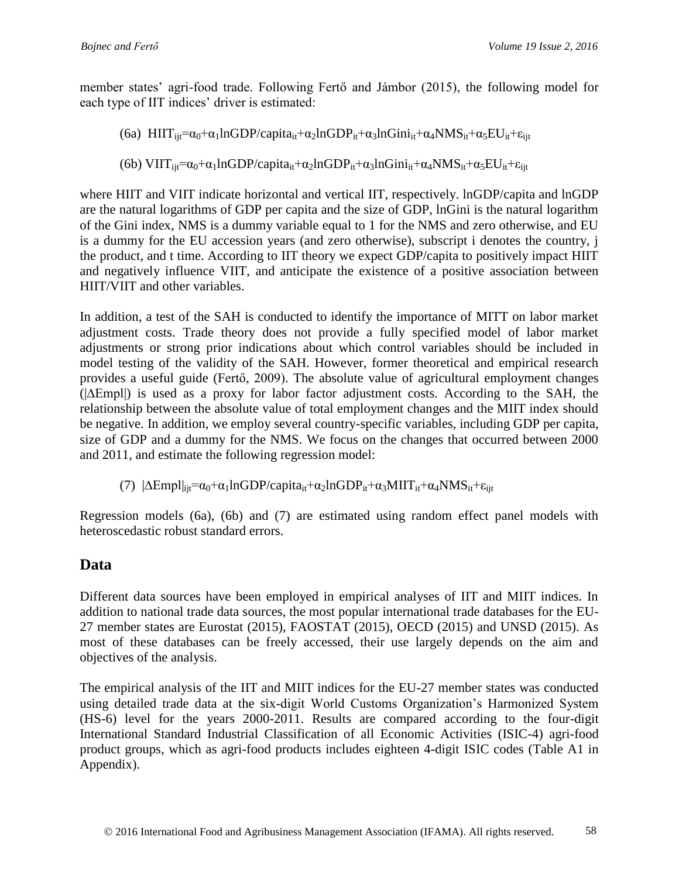member states' agri-food trade. Following Fertő and Jámbor (2015), the following model for each type of IIT indices' driver is estimated:

(6a)  $HIT_{ii}=\alpha_0+\alpha_1lnGDP/capita_{it}+\alpha_2lnGDP_{it}+\alpha_3lnGini_{it}+\alpha_4NMS_{it}+\alpha_5EU_{it}+\epsilon_{iit}$ 

(6b) VIIT $_{ii}=\alpha_0+\alpha_1\ln GDP/c$ apita<sub>it</sub> $+\alpha_2\ln GDP_{it}+\alpha_3\ln Gini_{it}+\alpha_4NMS_{it}+\alpha_5EU_{it}+\epsilon_{ijt}$ 

where HIIT and VIIT indicate horizontal and vertical IIT, respectively. lnGDP/capita and lnGDP are the natural logarithms of GDP per capita and the size of GDP, lnGini is the natural logarithm of the Gini index, NMS is a dummy variable equal to 1 for the NMS and zero otherwise, and EU is a dummy for the EU accession years (and zero otherwise), subscript i denotes the country, j the product, and t time. According to IIT theory we expect GDP/capita to positively impact HIIT and negatively influence VIIT, and anticipate the existence of a positive association between HIIT/VIIT and other variables.

In addition, a test of the SAH is conducted to identify the importance of MITT on labor market adjustment costs. Trade theory does not provide a fully specified model of labor market adjustments or strong prior indications about which control variables should be included in model testing of the validity of the SAH. However, former theoretical and empirical research provides a useful guide (Fertő, 2009). The absolute value of agricultural employment changes (|∆Empl|) is used as a proxy for labor factor adjustment costs. According to the SAH, the relationship between the absolute value of total employment changes and the MIIT index should be negative. In addition, we employ several country-specific variables, including GDP per capita, size of GDP and a dummy for the NMS. We focus on the changes that occurred between 2000 and 2011, and estimate the following regression model:

(7)  $|\Delta Empl|_{ii}=\alpha_0+\alpha_1lnGDP/capi t a_{it}+\alpha_2lnGDP_{it}+\alpha_3 MIT_{it}+\alpha_4NMS_{it}+\epsilon_{iit}$ 

Regression models (6a), (6b) and (7) are estimated using random effect panel models with heteroscedastic robust standard errors.

## **Data**

Different data sources have been employed in empirical analyses of IIT and MIIT indices. In addition to national trade data sources, the most popular international trade databases for the EU-27 member states are Eurostat (2015), FAOSTAT (2015), OECD (2015) and UNSD (2015). As most of these databases can be freely accessed, their use largely depends on the aim and objectives of the analysis.

The empirical analysis of the IIT and MIIT indices for the EU-27 member states was conducted using detailed trade data at the six-digit World Customs Organization's Harmonized System (HS-6) level for the years 2000-2011. Results are compared according to the four-digit International Standard Industrial Classification of all Economic Activities (ISIC-4) agri-food product groups, which as agri-food products includes eighteen 4-digit ISIC codes (Table A1 in Appendix).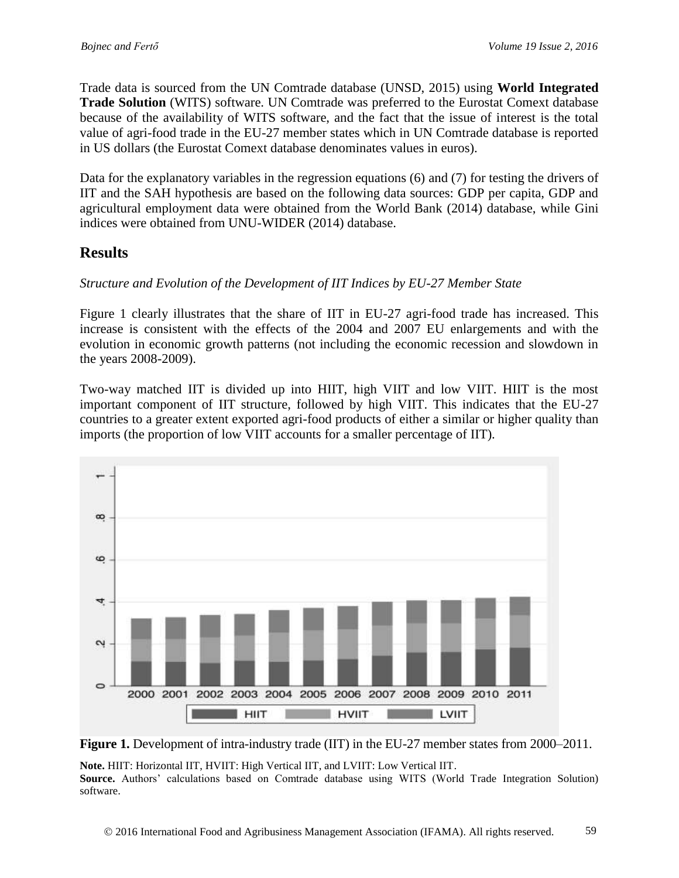Trade data is sourced from the UN Comtrade database (UNSD, 2015) using **World Integrated Trade Solution** (WITS) software. UN Comtrade was preferred to the Eurostat Comext database because of the availability of WITS software, and the fact that the issue of interest is the total value of agri-food trade in the EU-27 member states which in UN Comtrade database is reported in US dollars (the Eurostat Comext database denominates values in euros).

Data for the explanatory variables in the regression equations (6) and (7) for testing the drivers of IIT and the SAH hypothesis are based on the following data sources: GDP per capita, GDP and agricultural employment data were obtained from the World Bank (2014) database, while Gini indices were obtained from UNU-WIDER (2014) database.

### **Results**

software.

#### *Structure and Evolution of the Development of IIT Indices by EU-27 Member State*

Figure 1 clearly illustrates that the share of IIT in EU-27 agri-food trade has increased. This increase is consistent with the effects of the 2004 and 2007 EU enlargements and with the evolution in economic growth patterns (not including the economic recession and slowdown in the years 2008-2009).

Two-way matched IIT is divided up into HIIT, high VIIT and low VIIT. HIIT is the most important component of IIT structure, followed by high VIIT. This indicates that the EU-27 countries to a greater extent exported agri-food products of either a similar or higher quality than imports (the proportion of low VIIT accounts for a smaller percentage of IIT).



**Figure 1.** Development of intra-industry trade (IIT) in the EU-27 member states from 2000–2011.

**Note.** HIIT: Horizontal IIT, HVIIT: High Vertical IIT, and LVIIT: Low Vertical IIT. **Source.** Authors' calculations based on Comtrade database using WITS (World Trade Integration Solution)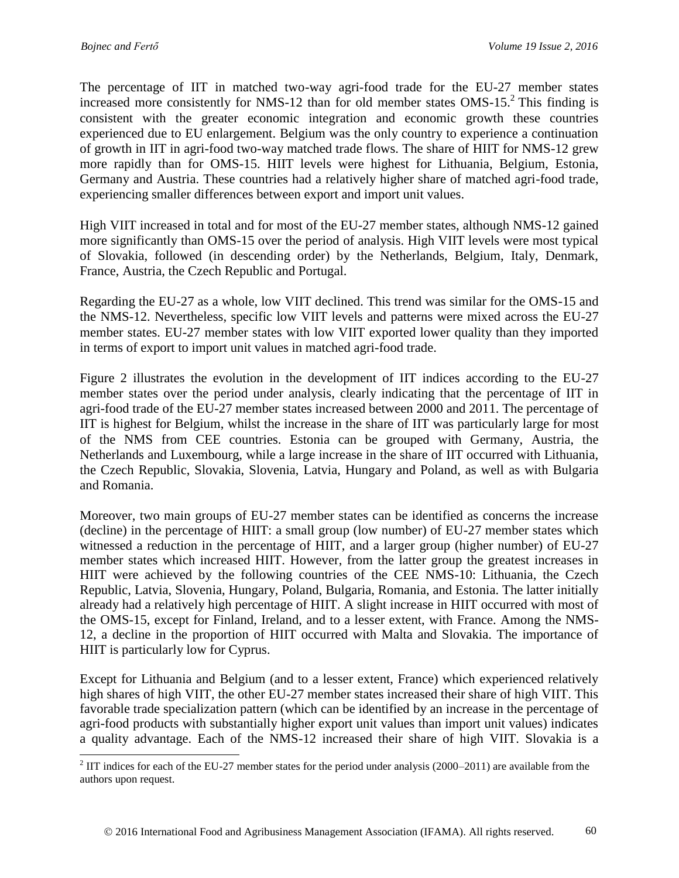The percentage of IIT in matched two-way agri-food trade for the EU-27 member states increased more consistently for NMS-12 than for old member states OMS-15. $^{2}$  This finding is consistent with the greater economic integration and economic growth these countries experienced due to EU enlargement. Belgium was the only country to experience a continuation of growth in IIT in agri-food two-way matched trade flows. The share of HIIT for NMS-12 grew more rapidly than for OMS-15. HIIT levels were highest for Lithuania, Belgium, Estonia, Germany and Austria. These countries had a relatively higher share of matched agri-food trade, experiencing smaller differences between export and import unit values.

High VIIT increased in total and for most of the EU-27 member states, although NMS-12 gained more significantly than OMS-15 over the period of analysis. High VIIT levels were most typical of Slovakia, followed (in descending order) by the Netherlands, Belgium, Italy, Denmark, France, Austria, the Czech Republic and Portugal.

Regarding the EU-27 as a whole, low VIIT declined. This trend was similar for the OMS-15 and the NMS-12. Nevertheless, specific low VIIT levels and patterns were mixed across the EU-27 member states. EU-27 member states with low VIIT exported lower quality than they imported in terms of export to import unit values in matched agri-food trade.

Figure 2 illustrates the evolution in the development of IIT indices according to the EU-27 member states over the period under analysis, clearly indicating that the percentage of IIT in agri-food trade of the EU-27 member states increased between 2000 and 2011. The percentage of IIT is highest for Belgium, whilst the increase in the share of IIT was particularly large for most of the NMS from CEE countries. Estonia can be grouped with Germany, Austria, the Netherlands and Luxembourg, while a large increase in the share of IIT occurred with Lithuania, the Czech Republic, Slovakia, Slovenia, Latvia, Hungary and Poland, as well as with Bulgaria and Romania.

Moreover, two main groups of EU-27 member states can be identified as concerns the increase (decline) in the percentage of HIIT: a small group (low number) of EU-27 member states which witnessed a reduction in the percentage of HIIT, and a larger group (higher number) of EU-27 member states which increased HIIT. However, from the latter group the greatest increases in HIIT were achieved by the following countries of the CEE NMS-10: Lithuania, the Czech Republic, Latvia, Slovenia, Hungary, Poland, Bulgaria, Romania, and Estonia. The latter initially already had a relatively high percentage of HIIT. A slight increase in HIIT occurred with most of the OMS-15, except for Finland, Ireland, and to a lesser extent, with France. Among the NMS-12, a decline in the proportion of HIIT occurred with Malta and Slovakia. The importance of HIIT is particularly low for Cyprus.

Except for Lithuania and Belgium (and to a lesser extent, France) which experienced relatively high shares of high VIIT, the other EU-27 member states increased their share of high VIIT. This favorable trade specialization pattern (which can be identified by an increase in the percentage of agri-food products with substantially higher export unit values than import unit values) indicates a quality advantage. Each of the NMS-12 increased their share of high VIIT. Slovakia is a

<sup>&</sup>lt;sup>2</sup> IIT indices for each of the EU-27 member states for the period under analysis (2000–2011) are available from the authors upon request.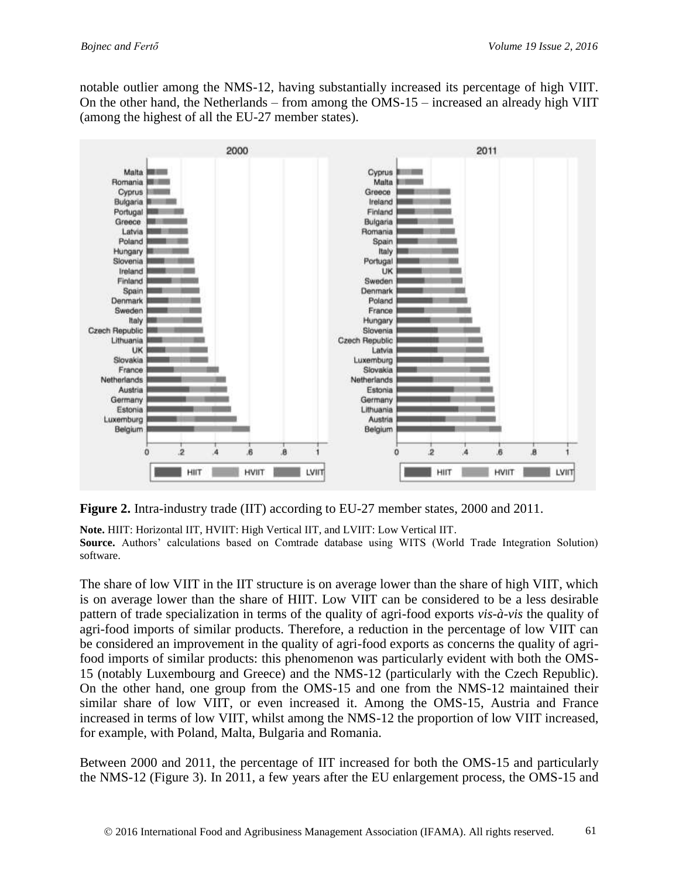notable outlier among the NMS-12, having substantially increased its percentage of high VIIT. On the other hand, the Netherlands – from among the OMS-15 – increased an already high VIIT (among the highest of all the EU-27 member states).



**Figure 2.** Intra-industry trade (IIT) according to EU-27 member states, 2000 and 2011.

**Note.** HIIT: Horizontal IIT, HVIIT: High Vertical IIT, and LVIIT: Low Vertical IIT.

**Source.** Authors' calculations based on Comtrade database using WITS (World Trade Integration Solution) software.

The share of low VIIT in the IIT structure is on average lower than the share of high VIIT, which is on average lower than the share of HIIT. Low VIIT can be considered to be a less desirable pattern of trade specialization in terms of the quality of agri-food exports *vis-à-vis* the quality of agri-food imports of similar products. Therefore, a reduction in the percentage of low VIIT can be considered an improvement in the quality of agri-food exports as concerns the quality of agrifood imports of similar products: this phenomenon was particularly evident with both the OMS-15 (notably Luxembourg and Greece) and the NMS-12 (particularly with the Czech Republic). On the other hand, one group from the OMS-15 and one from the NMS-12 maintained their similar share of low VIIT, or even increased it. Among the OMS-15, Austria and France increased in terms of low VIIT, whilst among the NMS-12 the proportion of low VIIT increased, for example, with Poland, Malta, Bulgaria and Romania.

Between 2000 and 2011, the percentage of IIT increased for both the OMS-15 and particularly the NMS-12 (Figure 3). In 2011, a few years after the EU enlargement process, the OMS-15 and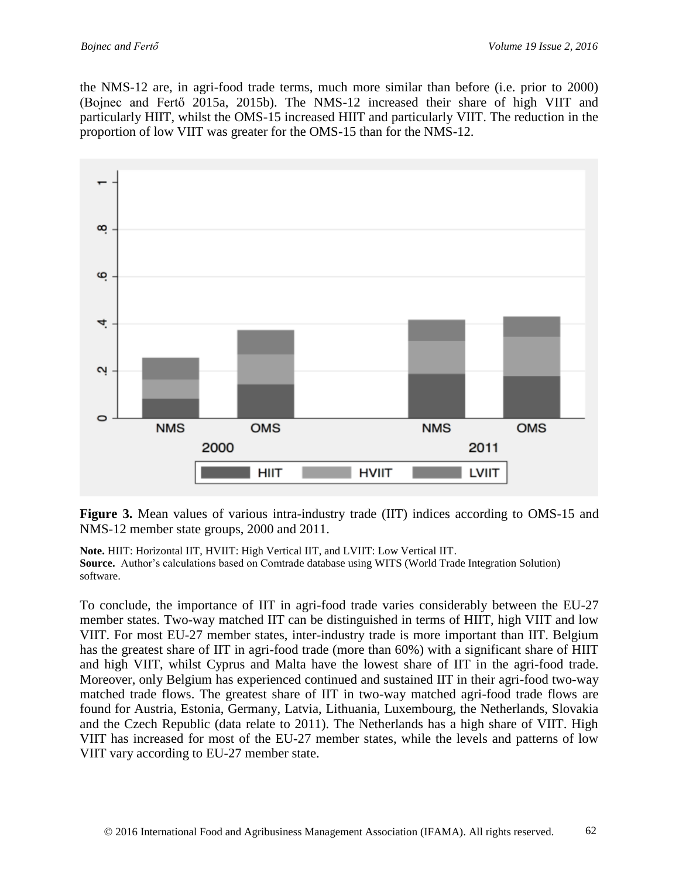the NMS-12 are, in agri-food trade terms, much more similar than before (i.e. prior to 2000) (Bojnec and Fertő 2015a, 2015b). The NMS-12 increased their share of high VIIT and particularly HIIT, whilst the OMS-15 increased HIIT and particularly VIIT. The reduction in the proportion of low VIIT was greater for the OMS-15 than for the NMS-12.



**Figure 3.** Mean values of various intra-industry trade (IIT) indices according to OMS-15 and NMS-12 member state groups, 2000 and 2011.

**Note.** HIIT: Horizontal IIT, HVIIT: High Vertical IIT, and LVIIT: Low Vertical IIT. **Source.** Author's calculations based on Comtrade database using WITS (World Trade Integration Solution) software.

To conclude, the importance of IIT in agri-food trade varies considerably between the EU-27 member states. Two-way matched IIT can be distinguished in terms of HIIT, high VIIT and low VIIT. For most EU-27 member states, inter-industry trade is more important than IIT. Belgium has the greatest share of IIT in agri-food trade (more than 60%) with a significant share of HIIT and high VIIT, whilst Cyprus and Malta have the lowest share of IIT in the agri-food trade. Moreover, only Belgium has experienced continued and sustained IIT in their agri-food two-way matched trade flows. The greatest share of IIT in two-way matched agri-food trade flows are found for Austria, Estonia, Germany, Latvia, Lithuania, Luxembourg, the Netherlands, Slovakia and the Czech Republic (data relate to 2011). The Netherlands has a high share of VIIT. High VIIT has increased for most of the EU-27 member states, while the levels and patterns of low VIIT vary according to EU-27 member state.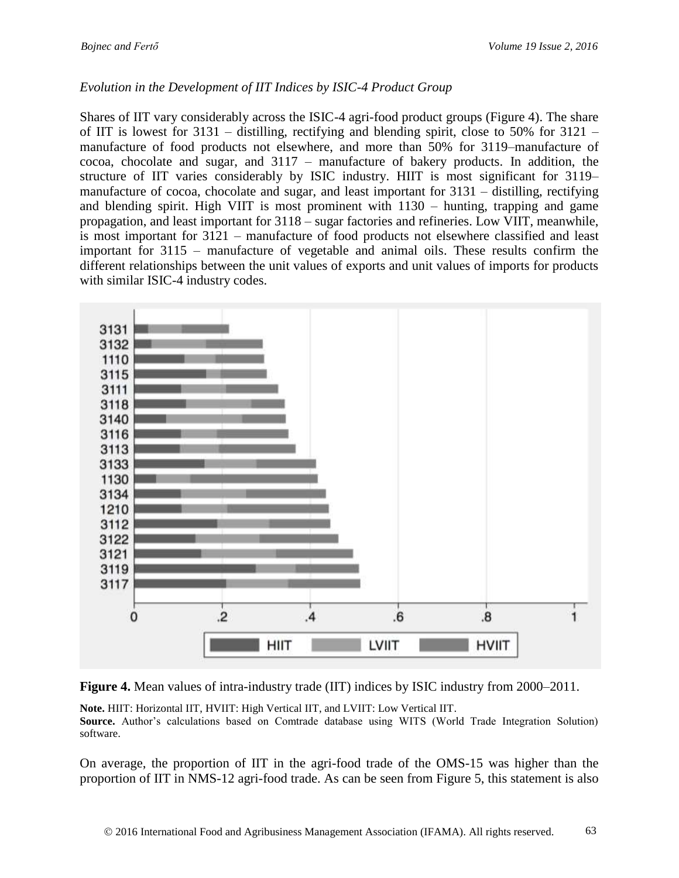#### *Evolution in the Development of IIT Indices by ISIC-4 Product Group*

Shares of IIT vary considerably across the ISIC-4 agri-food product groups (Figure 4). The share of IIT is lowest for 3131 – distilling, rectifying and blending spirit, close to 50% for 3121 – manufacture of food products not elsewhere, and more than 50% for 3119–manufacture of cocoa, chocolate and sugar, and 3117 – manufacture of bakery products. In addition, the structure of IIT varies considerably by ISIC industry. HIIT is most significant for 3119– manufacture of cocoa, chocolate and sugar, and least important for 3131 – distilling, rectifying and blending spirit. High VIIT is most prominent with 1130 – hunting, trapping and game propagation, and least important for 3118 – sugar factories and refineries. Low VIIT, meanwhile, is most important for 3121 – manufacture of food products not elsewhere classified and least important for 3115 – manufacture of vegetable and animal oils. These results confirm the different relationships between the unit values of exports and unit values of imports for products with similar ISIC-4 industry codes.





**Note.** HIIT: Horizontal IIT, HVIIT: High Vertical IIT, and LVIIT: Low Vertical IIT. **Source.** Author's calculations based on Comtrade database using WITS (World Trade Integration Solution)

software.

On average, the proportion of IIT in the agri-food trade of the OMS-15 was higher than the proportion of IIT in NMS-12 agri-food trade. As can be seen from Figure 5, this statement is also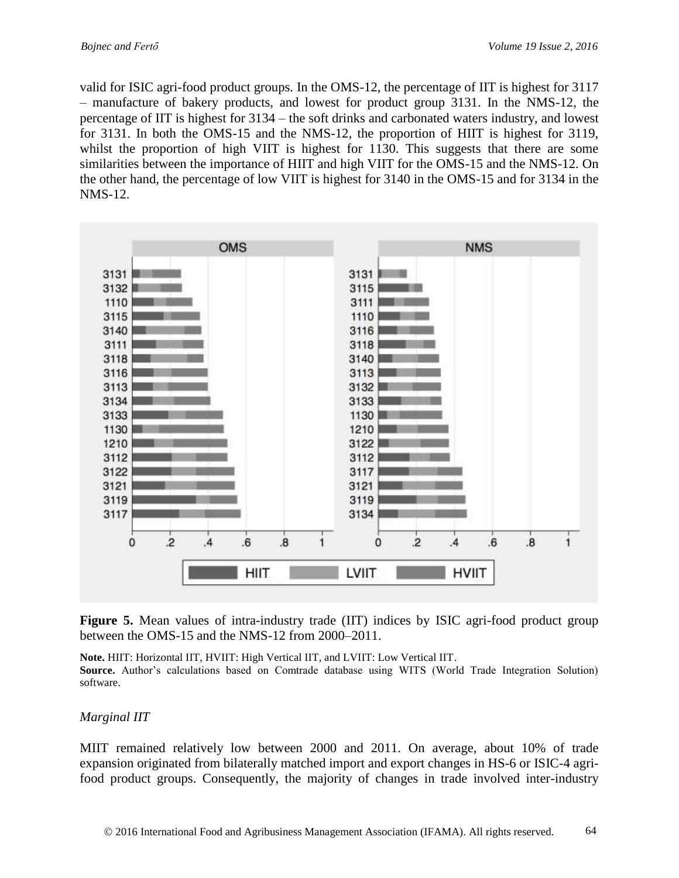valid for ISIC agri-food product groups. In the OMS-12, the percentage of IIT is highest for 3117 – manufacture of bakery products, and lowest for product group 3131. In the NMS-12, the percentage of IIT is highest for 3134 – the soft drinks and carbonated waters industry, and lowest for 3131. In both the OMS-15 and the NMS-12, the proportion of HIIT is highest for 3119, whilst the proportion of high VIIT is highest for 1130. This suggests that there are some similarities between the importance of HIIT and high VIIT for the OMS-15 and the NMS-12. On the other hand, the percentage of low VIIT is highest for 3140 in the OMS-15 and for 3134 in the NMS-12.



**Figure 5.** Mean values of intra-industry trade (IIT) indices by ISIC agri-food product group between the OMS-15 and the NMS-12 from 2000–2011.

**Note.** HIIT: Horizontal IIT, HVIIT: High Vertical IIT, and LVIIT: Low Vertical IIT. **Source.** Author's calculations based on Comtrade database using WITS (World Trade Integration Solution) software.

#### *Marginal IIT*

MIIT remained relatively low between 2000 and 2011. On average, about 10% of trade expansion originated from bilaterally matched import and export changes in HS-6 or ISIC-4 agrifood product groups. Consequently, the majority of changes in trade involved inter-industry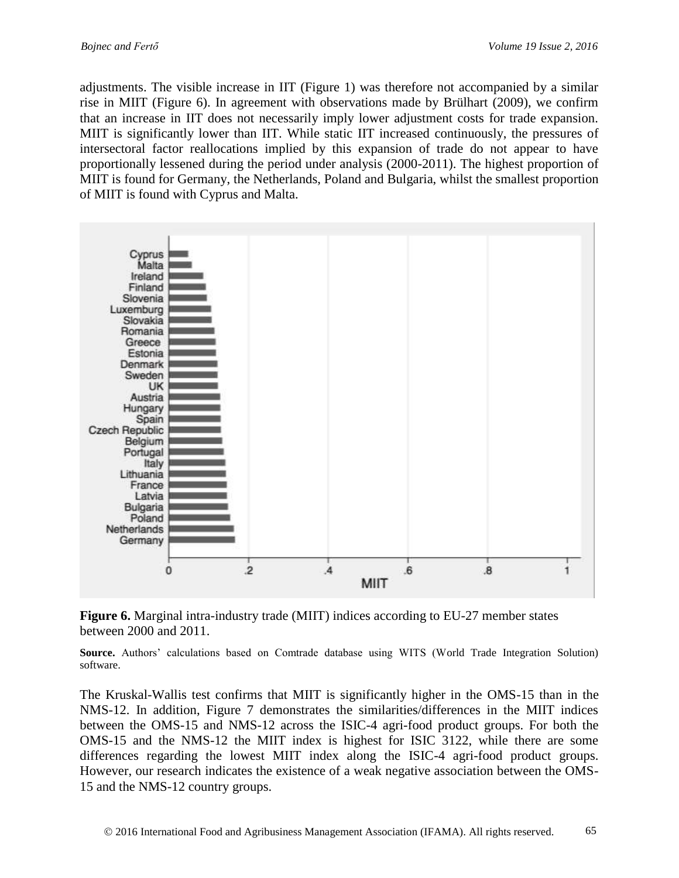adjustments. The visible increase in IIT (Figure 1) was therefore not accompanied by a similar rise in MIIT (Figure 6). In agreement with observations made by Brülhart (2009), we confirm that an increase in IIT does not necessarily imply lower adjustment costs for trade expansion. MIIT is significantly lower than IIT. While static IIT increased continuously, the pressures of intersectoral factor reallocations implied by this expansion of trade do not appear to have proportionally lessened during the period under analysis (2000-2011). The highest proportion of MIIT is found for Germany, the Netherlands, Poland and Bulgaria, whilst the smallest proportion of MIIT is found with Cyprus and Malta.



**Figure 6.** Marginal intra-industry trade (MIIT) indices according to EU-27 member states between 2000 and 2011.

**Source.** Authors' calculations based on Comtrade database using WITS (World Trade Integration Solution) software.

The Kruskal-Wallis test confirms that MIIT is significantly higher in the OMS-15 than in the NMS-12. In addition, Figure 7 demonstrates the similarities/differences in the MIIT indices between the OMS-15 and NMS-12 across the ISIC-4 agri-food product groups. For both the OMS-15 and the NMS-12 the MIIT index is highest for ISIC 3122, while there are some differences regarding the lowest MIIT index along the ISIC-4 agri-food product groups. However, our research indicates the existence of a weak negative association between the OMS-15 and the NMS-12 country groups.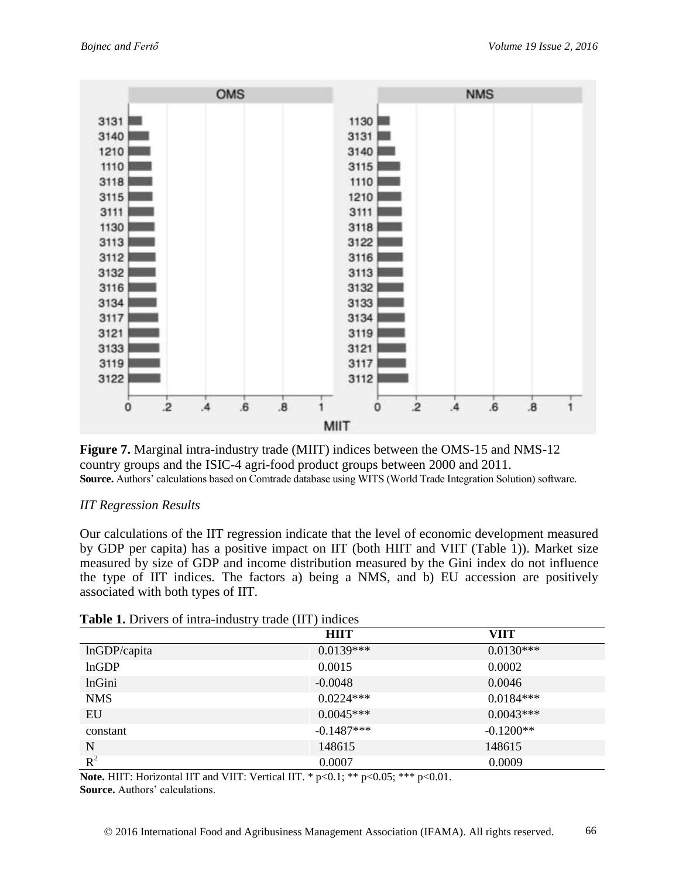

**Figure 7.** Marginal intra-industry trade (MIIT) indices between the OMS-15 and NMS-12 country groups and the ISIC-4 agri-food product groups between 2000 and 2011. **Source.** Authors' calculations based on Comtrade database using WITS (World Trade Integration Solution) software.

### *IIT Regression Results*

Our calculations of the IIT regression indicate that the level of economic development measured by GDP per capita) has a positive impact on IIT (both HIIT and VIIT (Table 1)). Market size measured by size of GDP and income distribution measured by the Gini index do not influence the type of IIT indices. The factors a) being a NMS, and b) EU accession are positively associated with both types of IIT.

|               | <b>HIIT</b>  | VIIT        |
|---------------|--------------|-------------|
| lnGDP/capita  | $0.0139***$  | $0.0130***$ |
| lnGDP         | 0.0015       | 0.0002      |
| <b>lnGini</b> | $-0.0048$    | 0.0046      |
| <b>NMS</b>    | $0.0224***$  | $0.0184***$ |
| EU            | $0.0045***$  | $0.0043***$ |
| constant      | $-0.1487***$ | $-0.1200**$ |
| N             | 148615       | 148615      |
| $R^2$         | 0.0007       | 0.0009      |

#### **Table 1.** Drivers of intra-industry trade (IIT) indices

**Note.** HIIT: Horizontal IIT and VIIT: Vertical IIT. \* p<0.1; \*\* p<0.05; \*\*\* p<0.01. **Source.** Authors' calculations.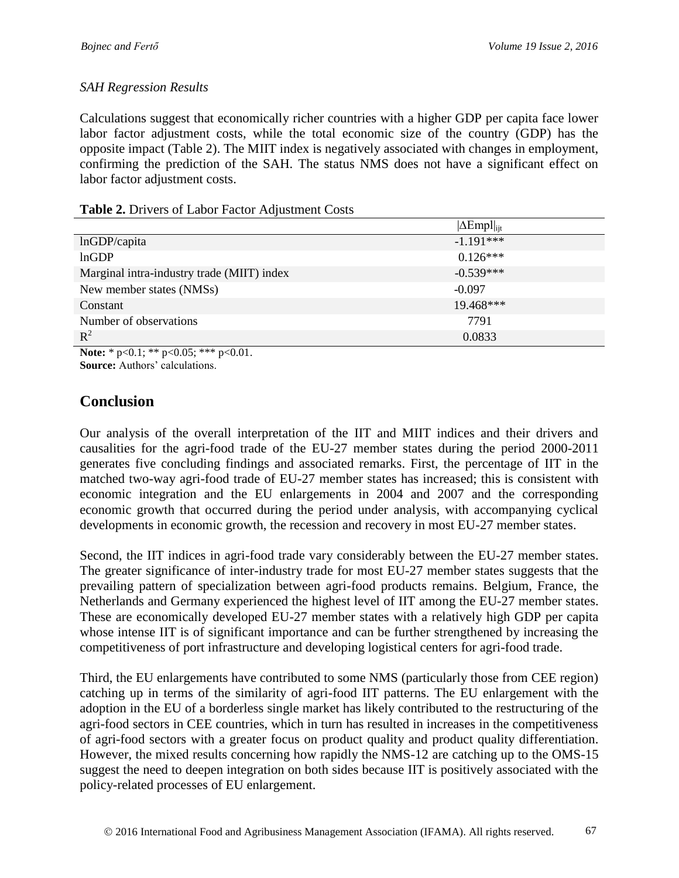#### *SAH Regression Results*

Calculations suggest that economically richer countries with a higher GDP per capita face lower labor factor adjustment costs, while the total economic size of the country (GDP) has the opposite impact (Table 2). The MIIT index is negatively associated with changes in employment, confirming the prediction of the SAH. The status NMS does not have a significant effect on labor factor adjustment costs.

#### **Table 2.** Drivers of Labor Factor Adjustment Costs

|                                            | $ \Delta \text{Empl} _{\text{ijt}}$ |
|--------------------------------------------|-------------------------------------|
| lnGDP/capita                               | $-1.191***$                         |
| lnGDP                                      | $0.126***$                          |
| Marginal intra-industry trade (MIIT) index | $-0.539***$                         |
| New member states (NMSs)                   | $-0.097$                            |
| Constant                                   | 19.468***                           |
| Number of observations                     | 7791                                |
| $R^2$                                      | 0.0833                              |

**Note:** \* p<0.1; \*\* p<0.05; \*\*\* p<0.01. **Source:** Authors' calculations.

## **Conclusion**

Our analysis of the overall interpretation of the IIT and MIIT indices and their drivers and causalities for the agri-food trade of the EU-27 member states during the period 2000-2011 generates five concluding findings and associated remarks. First, the percentage of IIT in the matched two-way agri-food trade of EU-27 member states has increased; this is consistent with economic integration and the EU enlargements in 2004 and 2007 and the corresponding economic growth that occurred during the period under analysis, with accompanying cyclical developments in economic growth, the recession and recovery in most EU-27 member states.

Second, the IIT indices in agri-food trade vary considerably between the EU-27 member states. The greater significance of inter-industry trade for most EU-27 member states suggests that the prevailing pattern of specialization between agri-food products remains. Belgium, France, the Netherlands and Germany experienced the highest level of IIT among the EU-27 member states. These are economically developed EU-27 member states with a relatively high GDP per capita whose intense IIT is of significant importance and can be further strengthened by increasing the competitiveness of port infrastructure and developing logistical centers for agri-food trade.

Third, the EU enlargements have contributed to some NMS (particularly those from CEE region) catching up in terms of the similarity of agri-food IIT patterns. The EU enlargement with the adoption in the EU of a borderless single market has likely contributed to the restructuring of the agri-food sectors in CEE countries, which in turn has resulted in increases in the competitiveness of agri-food sectors with a greater focus on product quality and product quality differentiation. However, the mixed results concerning how rapidly the NMS-12 are catching up to the OMS-15 suggest the need to deepen integration on both sides because IIT is positively associated with the policy-related processes of EU enlargement.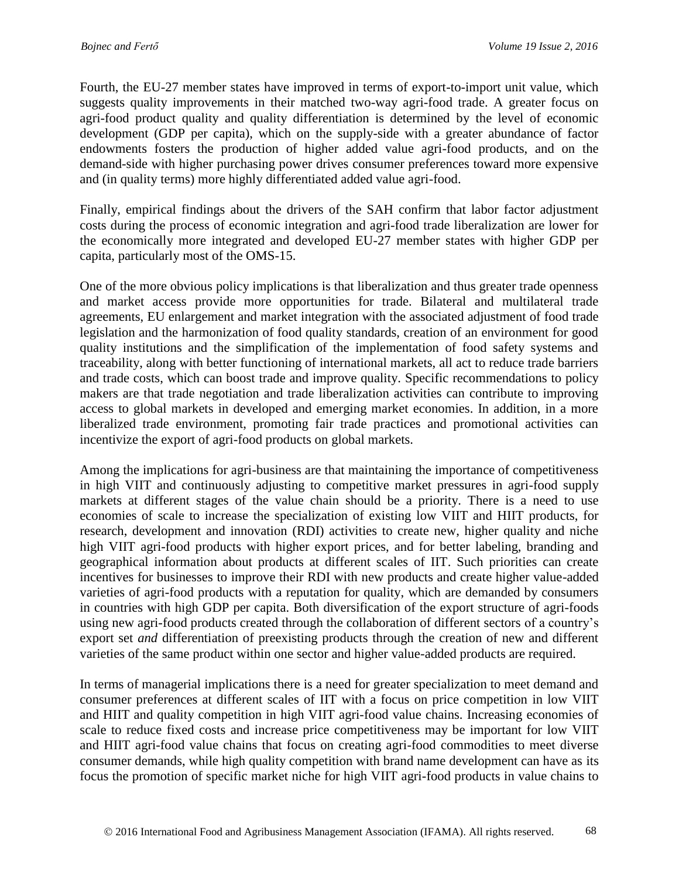Fourth, the EU-27 member states have improved in terms of export-to-import unit value, which suggests quality improvements in their matched two-way agri-food trade. A greater focus on agri-food product quality and quality differentiation is determined by the level of economic development (GDP per capita), which on the supply-side with a greater abundance of factor endowments fosters the production of higher added value agri-food products, and on the demand-side with higher purchasing power drives consumer preferences toward more expensive and (in quality terms) more highly differentiated added value agri-food.

Finally, empirical findings about the drivers of the SAH confirm that labor factor adjustment costs during the process of economic integration and agri-food trade liberalization are lower for the economically more integrated and developed EU-27 member states with higher GDP per capita, particularly most of the OMS-15.

One of the more obvious policy implications is that liberalization and thus greater trade openness and market access provide more opportunities for trade. Bilateral and multilateral trade agreements, EU enlargement and market integration with the associated adjustment of food trade legislation and the harmonization of food quality standards, creation of an environment for good quality institutions and the simplification of the implementation of food safety systems and traceability, along with better functioning of international markets, all act to reduce trade barriers and trade costs, which can boost trade and improve quality. Specific recommendations to policy makers are that trade negotiation and trade liberalization activities can contribute to improving access to global markets in developed and emerging market economies. In addition, in a more liberalized trade environment, promoting fair trade practices and promotional activities can incentivize the export of agri-food products on global markets.

Among the implications for agri-business are that maintaining the importance of competitiveness in high VIIT and continuously adjusting to competitive market pressures in agri-food supply markets at different stages of the value chain should be a priority. There is a need to use economies of scale to increase the specialization of existing low VIIT and HIIT products, for research, development and innovation (RDI) activities to create new, higher quality and niche high VIIT agri-food products with higher export prices, and for better labeling, branding and geographical information about products at different scales of IIT. Such priorities can create incentives for businesses to improve their RDI with new products and create higher value-added varieties of agri-food products with a reputation for quality, which are demanded by consumers in countries with high GDP per capita. Both diversification of the export structure of agri-foods using new agri-food products created through the collaboration of different sectors of a country's export set *and* differentiation of preexisting products through the creation of new and different varieties of the same product within one sector and higher value-added products are required.

In terms of managerial implications there is a need for greater specialization to meet demand and consumer preferences at different scales of IIT with a focus on price competition in low VIIT and HIIT and quality competition in high VIIT agri-food value chains. Increasing economies of scale to reduce fixed costs and increase price competitiveness may be important for low VIIT and HIIT agri-food value chains that focus on creating agri-food commodities to meet diverse consumer demands, while high quality competition with brand name development can have as its focus the promotion of specific market niche for high VIIT agri-food products in value chains to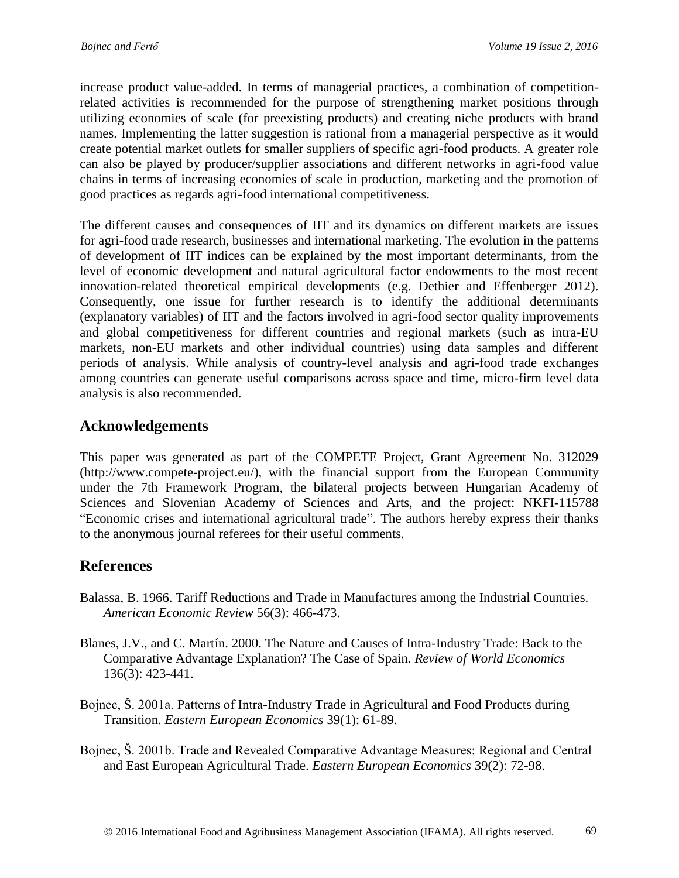increase product value-added. In terms of managerial practices, a combination of competitionrelated activities is recommended for the purpose of strengthening market positions through utilizing economies of scale (for preexisting products) and creating niche products with brand names. Implementing the latter suggestion is rational from a managerial perspective as it would create potential market outlets for smaller suppliers of specific agri-food products. A greater role can also be played by producer/supplier associations and different networks in agri-food value chains in terms of increasing economies of scale in production, marketing and the promotion of good practices as regards agri-food international competitiveness.

The different causes and consequences of IIT and its dynamics on different markets are issues for agri-food trade research, businesses and international marketing. The evolution in the patterns of development of IIT indices can be explained by the most important determinants, from the level of economic development and natural agricultural factor endowments to the most recent innovation-related theoretical empirical developments (e.g. Dethier and Effenberger 2012). Consequently, one issue for further research is to identify the additional determinants (explanatory variables) of IIT and the factors involved in agri-food sector quality improvements and global competitiveness for different countries and regional markets (such as intra-EU markets, non-EU markets and other individual countries) using data samples and different periods of analysis. While analysis of country-level analysis and agri-food trade exchanges among countries can generate useful comparisons across space and time, micro-firm level data analysis is also recommended.

### **Acknowledgements**

This paper was generated as part of the COMPETE Project, Grant Agreement No. 312029 (http://www.compete-project.eu/), with the financial support from the European Community under the 7th Framework Program, the bilateral projects between Hungarian Academy of Sciences and Slovenian Academy of Sciences and Arts, and the project: NKFI-115788 "Economic crises and international agricultural trade". The authors hereby express their thanks to the anonymous journal referees for their useful comments.

## **References**

- Balassa, B. 1966. Tariff Reductions and Trade in Manufactures among the Industrial Countries. *American Economic Review* 56(3): 466-473.
- Blanes, J.V., and C. Martín. 2000. The Nature and Causes of Intra-Industry Trade: Back to the Comparative Advantage Explanation? The Case of Spain. *Review of World Economics*  136(3): 423-441.
- Bojnec, Š. 2001a. Patterns of Intra-Industry Trade in Agricultural and Food Products during Transition. *Eastern European Economics* 39(1): 61-89.
- Bojnec, Š. 2001b. Trade and Revealed Comparative Advantage Measures: Regional and Central and East European Agricultural Trade. *Eastern European Economics* 39(2): 72-98.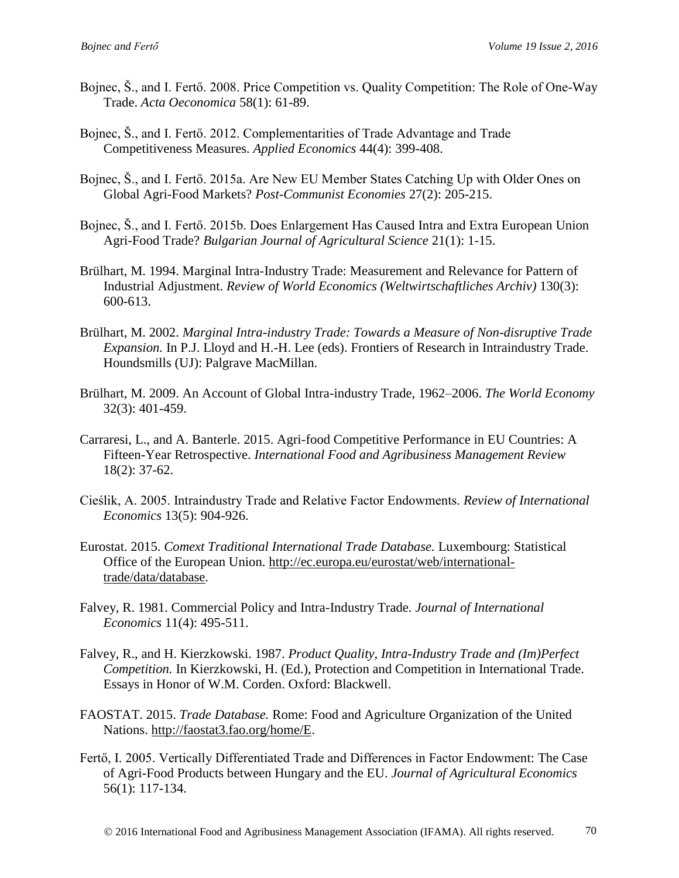- Bojnec, Š., and I. Fertő. 2008. Price Competition vs. Quality Competition: The Role of One-Way Trade. *Acta Oeconomica* 58(1): 61-89.
- Bojnec, Š., and I. Fertő. 2012. Complementarities of Trade Advantage and Trade Competitiveness Measures. *Applied Economics* 44(4): 399-408.
- Bojnec, Š., and I. Fertő. 2015a. Are New EU Member States Catching Up with Older Ones on Global Agri-Food Markets? *Post-Communist Economies* 27(2): 205-215.
- Bojnec, Š., and I. Fertő. 2015b. Does Enlargement Has Caused Intra and Extra European Union Agri-Food Trade? *Bulgarian Journal of Agricultural Science* 21(1): 1-15.
- Brülhart, M. 1994. Marginal Intra-Industry Trade: Measurement and Relevance for Pattern of Industrial Adjustment. *Review of World Economics (Weltwirtschaftliches Archiv)* 130(3): 600-613.
- Brülhart, M. 2002. *Marginal Intra-industry Trade: Towards a Measure of Non-disruptive Trade Expansion.* In P.J. Lloyd and H.-H. Lee (eds). Frontiers of Research in Intraindustry Trade. Houndsmills (UJ): Palgrave MacMillan.
- Brülhart, M. 2009. An Account of Global Intra-industry Trade, 1962–2006. *The World Economy*  32(3): 401-459.
- Carraresi, L., and A. Banterle. 2015. Agri-food Competitive Performance in EU Countries: A Fifteen-Year Retrospective. *International Food and Agribusiness Management Review*  18(2): 37-62.
- Cieślik, A. 2005. Intraindustry Trade and Relative Factor Endowments. *Review of International Economics* 13(5): 904-926.
- Eurostat. 2015. *Comext Traditional International Trade Database.* Luxembourg: Statistical Office of the European Union. [http://ec.europa.eu/eurostat/web/international](http://ec.europa.eu/eurostat/web/international-trade/data/database)[trade/data/database.](http://ec.europa.eu/eurostat/web/international-trade/data/database)
- Falvey, R. 1981. Commercial Policy and Intra-Industry Trade. *Journal of International Economics* 11(4): 495-511.
- Falvey, R., and H. Kierzkowski. 1987. *Product Quality, Intra-Industry Trade and (Im)Perfect Competition.* In Kierzkowski, H. (Ed.), Protection and Competition in International Trade. Essays in Honor of W.M. Corden. Oxford: Blackwell.
- FAOSTAT. 2015. *Trade Database.* Rome: Food and Agriculture Organization of the United Nations. [http://faostat3.fao.org/home/E.](http://faostat3.fao.org/home/E)
- Fertő, I. 2005. Vertically Differentiated Trade and Differences in Factor Endowment: The Case of Agri-Food Products between Hungary and the EU. *Journal of Agricultural Economics*  56(1): 117-134.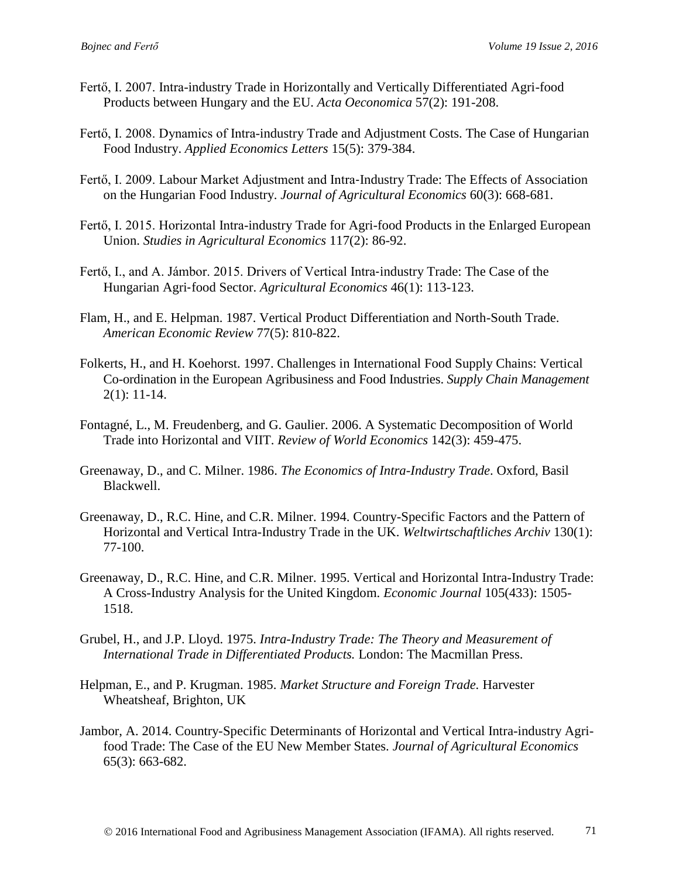- Fertő, I. 2007. Intra-industry Trade in Horizontally and Vertically Differentiated Agri-food Products between Hungary and the EU. *Acta Oeconomica* 57(2): 191-208.
- Fertő, I. 2008. Dynamics of Intra-industry Trade and Adjustment Costs. The Case of Hungarian Food Industry. *Applied Economics Letters* 15(5): 379-384.
- Fertő, I. 2009. Labour Market Adjustment and Intra-Industry Trade: The Effects of Association on the Hungarian Food Industry. *Journal of Agricultural Economics* 60(3): 668-681.
- Fertő, I. 2015. Horizontal Intra-industry Trade for Agri-food Products in the Enlarged European Union. *Studies in Agricultural Economics* 117(2): 86-92.
- Fertő, I., and A. Jámbor. 2015. Drivers of Vertical Intra-industry Trade: The Case of the Hungarian Agri‐food Sector. *Agricultural Economics* 46(1): 113-123.
- Flam, H., and E. Helpman. 1987. Vertical Product Differentiation and North-South Trade. *American Economic Review* 77(5): 810-822.
- Folkerts, H., and H. Koehorst. 1997. Challenges in International Food Supply Chains: Vertical Co-ordination in the European Agribusiness and Food Industries. *Supply Chain Management* 2(1): 11-14.
- Fontagné, L., M. Freudenberg, and G. Gaulier. 2006. A Systematic Decomposition of World Trade into Horizontal and VIIT. *Review of World Economics* 142(3): 459-475.
- Greenaway, D., and C. Milner. 1986. *The Economics of Intra-Industry Trade*. Oxford, Basil Blackwell.
- Greenaway, D., R.C. Hine, and C.R. Milner. 1994. Country-Specific Factors and the Pattern of Horizontal and Vertical Intra-Industry Trade in the UK. *Weltwirtschaftliches Archiv* 130(1): 77-100.
- Greenaway, D., R.C. Hine, and C.R. Milner. 1995. Vertical and Horizontal Intra-Industry Trade: A Cross-Industry Analysis for the United Kingdom. *Economic Journal* 105(433): 1505- 1518.
- Grubel, H., and J.P. Lloyd. 1975. *Intra-Industry Trade: The Theory and Measurement of International Trade in Differentiated Products.* London: The Macmillan Press.
- Helpman, E., and P. Krugman. 1985. *Market Structure and Foreign Trade.* Harvester Wheatsheaf, Brighton, UK
- Jambor, A. 2014. Country-Specific Determinants of Horizontal and Vertical Intra-industry Agrifood Trade: The Case of the EU New Member States. *Journal of Agricultural Economics*  65(3): 663-682.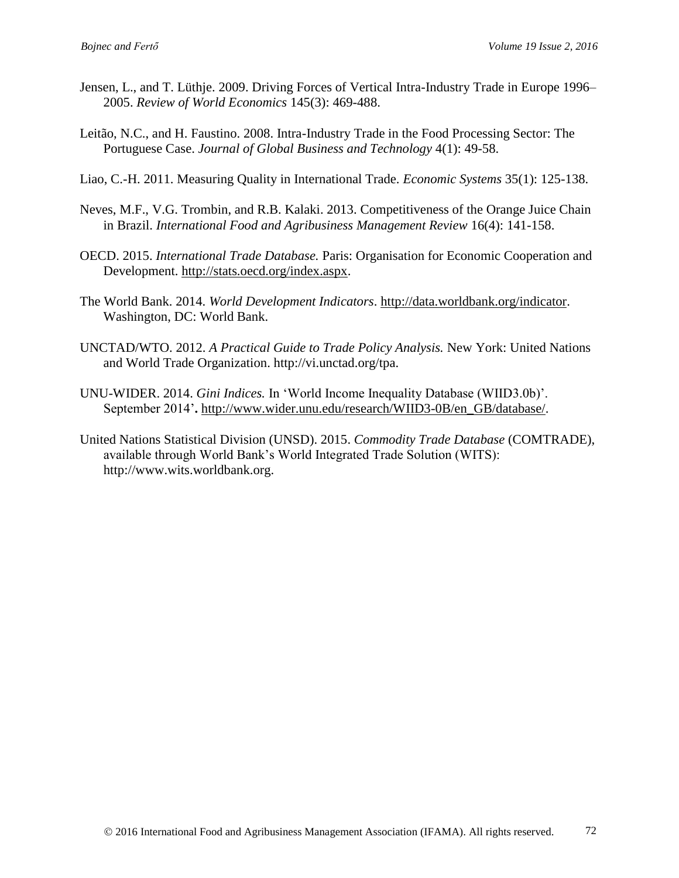- Jensen, L., and T. Lüthje. 2009. Driving Forces of Vertical Intra-Industry Trade in Europe 1996– 2005. *Review of World Economics* 145(3): 469-488.
- Leitão, N.C., and H. Faustino. 2008. Intra-Industry Trade in the Food Processing Sector: The Portuguese Case. *Journal of Global Business and Technology* 4(1): 49-58.
- Liao, C.-H. 2011. Measuring Quality in International Trade. *Economic Systems* 35(1): 125-138.
- Neves, M.F., V.G. Trombin, and R.B. Kalaki. 2013. Competitiveness of the Orange Juice Chain in Brazil. *International Food and Agribusiness Management Review* 16(4): 141-158.
- OECD. 2015. *International Trade Database.* Paris: Organisation for Economic Cooperation and Development. [http://stats.oecd.org/index.aspx.](http://stats.oecd.org/index.aspx)
- The World Bank. 2014. *World Development Indicators*. [http://data.worldbank.org/indicator.](http://data.worldbank.org/indicator) Washington, DC: World Bank.
- UNCTAD/WTO. 2012. *A Practical Guide to Trade Policy Analysis.* New York: United Nations and World Trade Organization. http://vi.unctad.org/tpa.
- UNU-WIDER. 2014. *Gini Indices.* In 'World Income Inequality Database (WIID3.0b)'. September 2014'**.** [http://www.wider.unu.edu/research/WIID3-0B/en\\_GB/database/.](http://www.wider.unu.edu/research/WIID3-0B/en_GB/database/)
- United Nations Statistical Division (UNSD). 2015. *Commodity Trade Database* (COMTRADE), available through World Bank's World Integrated Trade Solution (WITS): http:/[/www.wits.worldbank.org.](http://www.wits.worldbank.org/)